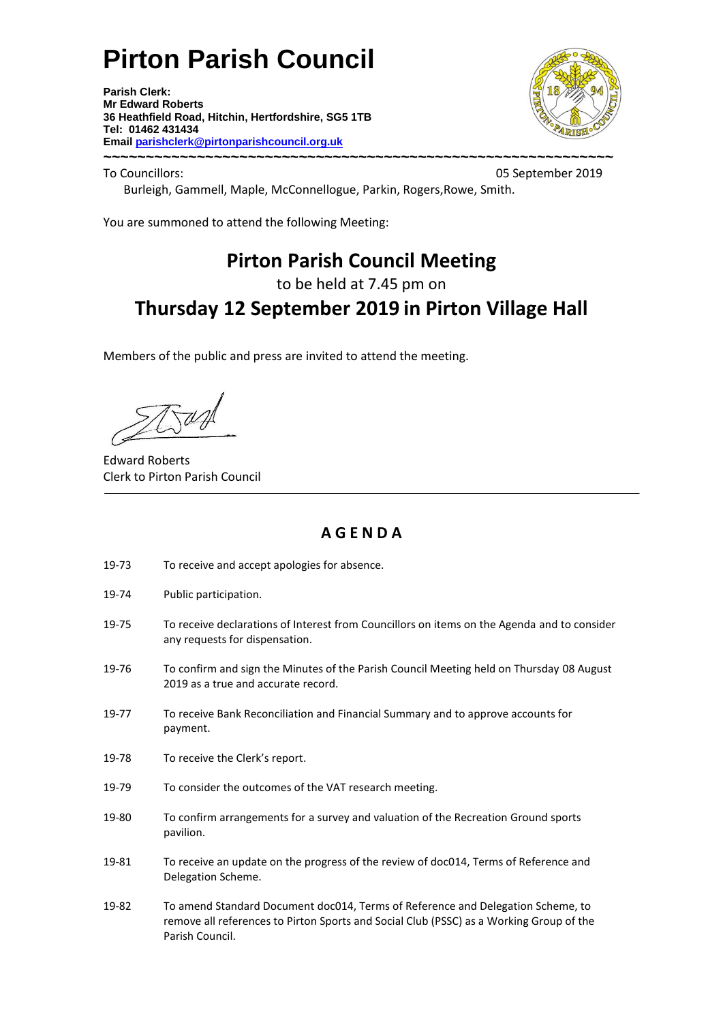# **Pirton Parish Council**

**Parish Clerk: Mr Edward Roberts 36 Heathfield Road, Hitchin, Hertfordshire, SG5 1TB Tel: 01462 431434 Email parishclerk@pirtonparishcouncil.org.uk ~~~~~~~~~~~~~~~~~~~~~~~~~~~~~~~~~~~~~~~~~~~~~~~~~~~~~~~~~~~~**



To Councillors: 05 September 2019

Burleigh, Gammell, Maple, McConnellogue, Parkin, Rogers,Rowe, Smith.

You are summoned to attend the following Meeting:

# **Pirton Parish Council Meeting**

to be held at 7.45 pm on

# **Thursday 12 September 2019 in Pirton Village Hall**

Members of the public and press are invited to attend the meeting.

Edward Roberts Clerk to Pirton Parish Council

## **A G E N D A**

- 19-73 To receive and accept apologies for absence.
- 19-74 Public participation.
- 19-75 To receive declarations of Interest from Councillors on items on the Agenda and to consider any requests for dispensation.
- 19-76 To confirm and sign the Minutes of the Parish Council Meeting held on Thursday 08 August 2019 as a true and accurate record.
- 19-77 To receive Bank Reconciliation and Financial Summary and to approve accounts for payment.
- 19-78 To receive the Clerk's report.
- 19-79 To consider the outcomes of the VAT research meeting.
- 19-80 To confirm arrangements for a survey and valuation of the Recreation Ground sports pavilion.
- 19-81 To receive an update on the progress of the review of doc014, Terms of Reference and Delegation Scheme.
- 19-82 To amend Standard Document doc014, Terms of Reference and Delegation Scheme, to remove all references to Pirton Sports and Social Club (PSSC) as a Working Group of the Parish Council.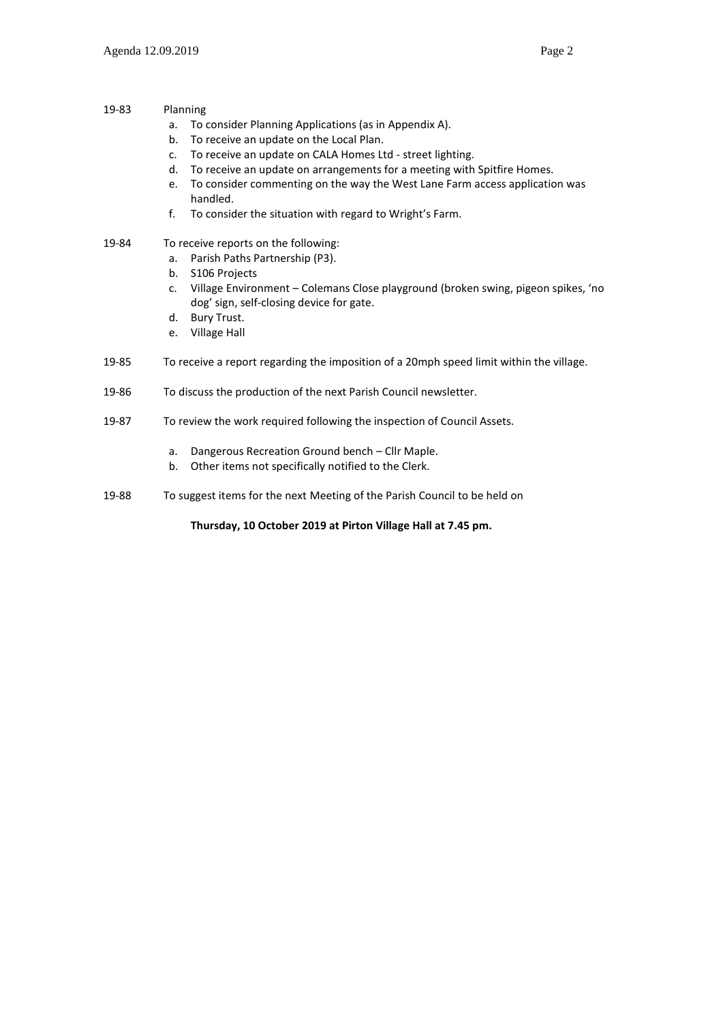- 19-83 Planning
	- a. To consider Planning Applications (as in Appendix A).
	- b. To receive an update on the Local Plan.
	- c. To receive an update on CALA Homes Ltd street lighting.
	- d. To receive an update on arrangements for a meeting with Spitfire Homes.
	- e. To consider commenting on the way the West Lane Farm access application was handled.
	- f. To consider the situation with regard to Wright's Farm.

#### 19-84 To receive reports on the following:

- a. Parish Paths Partnership (P3).
- b. S106 Projects
- c. Village Environment Colemans Close playground (broken swing, pigeon spikes, 'no dog' sign, self-closing device for gate.
- d. Bury Trust.
- e. Village Hall
- 19-85 To receive a report regarding the imposition of a 20mph speed limit within the village.
- 19-86 To discuss the production of the next Parish Council newsletter.
- 19-87 To review the work required following the inspection of Council Assets.
	- a. Dangerous Recreation Ground bench Cllr Maple.
	- b. Other items not specifically notified to the Clerk.
- 19-88 To suggest items for the next Meeting of the Parish Council to be held on

**Thursday, 10 October 2019 at Pirton Village Hall at 7.45 pm.**